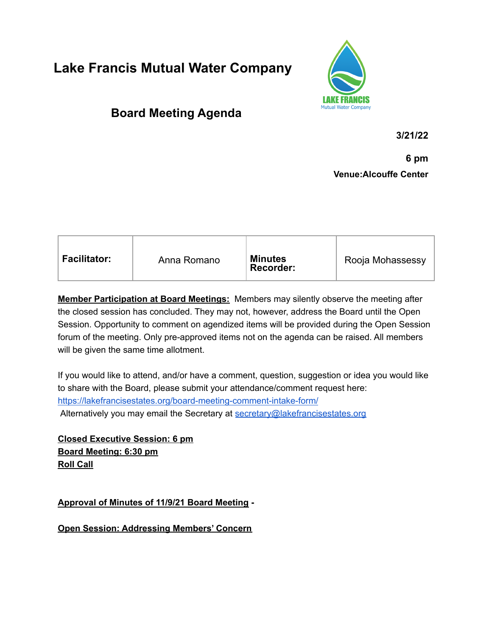## **Lake Francis Mutual Water Company**



## **Board Meeting Agenda**

**3/21/22**

**6 pm Venue:Alcouffe Center**

| <b>Facilitator:</b><br><b>Minutes</b><br>Rooja Mohassessy |
|-----------------------------------------------------------|
|-----------------------------------------------------------|

**Member Participation at Board Meetings:** Members may silently observe the meeting after the closed session has concluded. They may not, however, address the Board until the Open Session. Opportunity to comment on agendized items will be provided during the Open Session forum of the meeting. Only pre-approved items not on the agenda can be raised. All members will be given the same time allotment.

If you would like to attend, and/or have a comment, question, suggestion or idea you would like to share with the Board, please submit your attendance/comment request here: <https://lakefrancisestates.org/board-meeting-comment-intake-form/> Alternatively you may email the Secretary at [secretary@lakefrancisestates.org](mailto:secretary@lakefrancisestates.org)

**Closed Executive Session: 6 pm Board Meeting: 6:30 pm Roll Call**

**Approval of Minutes of 11/9/21 Board Meeting -**

**Open Session: Addressing Members' Concern**